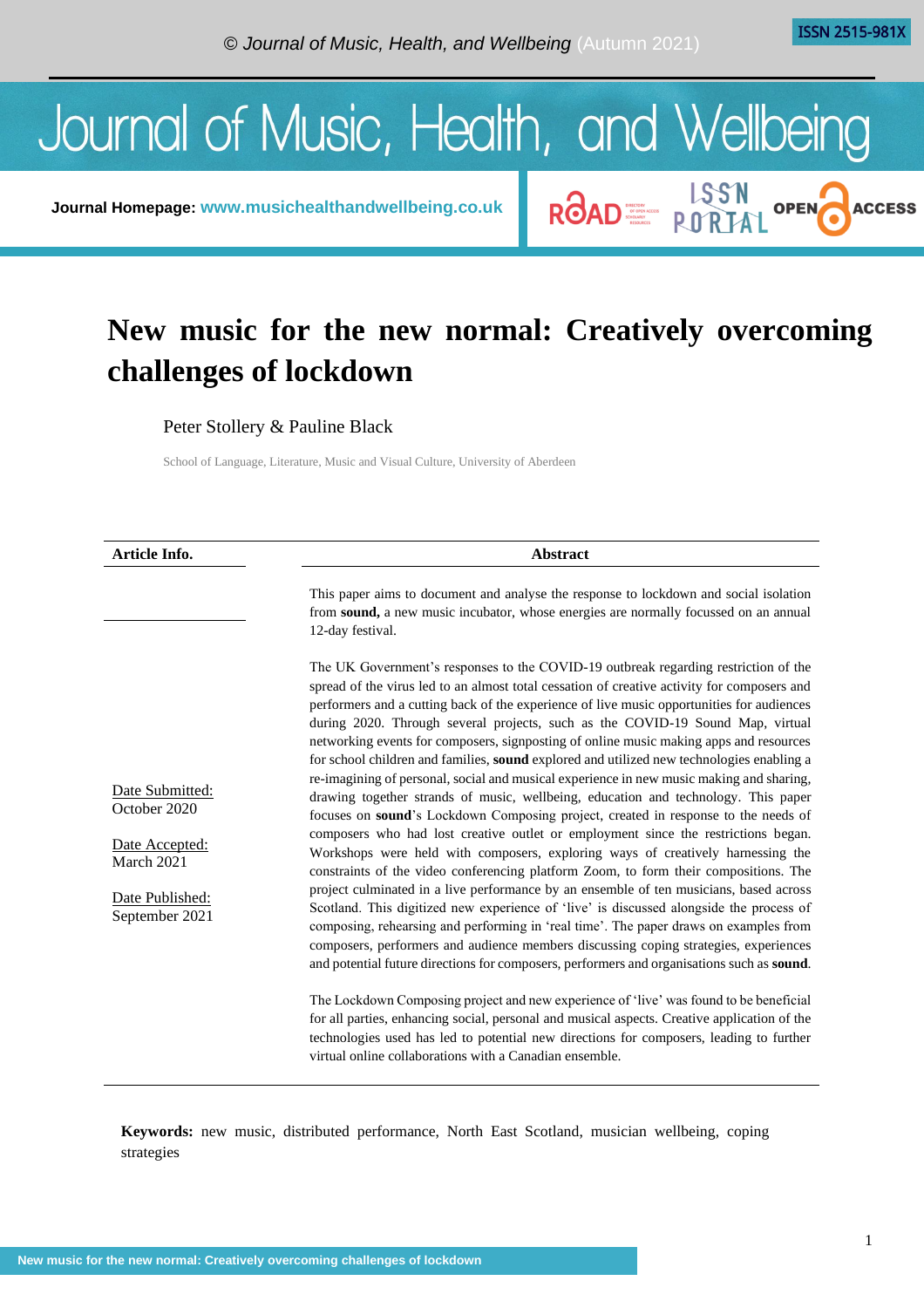**ISSN 2515-981X** 

**ACCESS** 

ROAD E LISSN OPEN



**Journal Homepage: [www.musichealthandwellbeing.co.uk](http://www.musichealthandwellbeing.co.uk/)**

# **New music for the new normal: Creatively overcoming challenges of lockdown**

Peter Stollery & Pauline Black

School of Language, Literature, Music and Visual Culture, University of Aberdeen

| Article Info.                                                                                        | Abstract                                                                                                                                                                                                                                                                                                                                                                                                                                                                                                                                                                                                                                                                                                                                                                                                                                                                                                                                                                                                                                                                                                                                                                                                                                                                                                                                                                                                                                                                                                                                                                                                                                                                                                                                                                                                                                                                                                              |  |  |
|------------------------------------------------------------------------------------------------------|-----------------------------------------------------------------------------------------------------------------------------------------------------------------------------------------------------------------------------------------------------------------------------------------------------------------------------------------------------------------------------------------------------------------------------------------------------------------------------------------------------------------------------------------------------------------------------------------------------------------------------------------------------------------------------------------------------------------------------------------------------------------------------------------------------------------------------------------------------------------------------------------------------------------------------------------------------------------------------------------------------------------------------------------------------------------------------------------------------------------------------------------------------------------------------------------------------------------------------------------------------------------------------------------------------------------------------------------------------------------------------------------------------------------------------------------------------------------------------------------------------------------------------------------------------------------------------------------------------------------------------------------------------------------------------------------------------------------------------------------------------------------------------------------------------------------------------------------------------------------------------------------------------------------------|--|--|
|                                                                                                      | This paper aims to document and analyse the response to lockdown and social isolation<br>from sound, a new music incubator, whose energies are normally focussed on an annual<br>12-day festival.                                                                                                                                                                                                                                                                                                                                                                                                                                                                                                                                                                                                                                                                                                                                                                                                                                                                                                                                                                                                                                                                                                                                                                                                                                                                                                                                                                                                                                                                                                                                                                                                                                                                                                                     |  |  |
| Date Submitted:<br>October 2020<br>Date Accepted:<br>March 2021<br>Date Published:<br>September 2021 | The UK Government's responses to the COVID-19 outbreak regarding restriction of the<br>spread of the virus led to an almost total cessation of creative activity for composers and<br>performers and a cutting back of the experience of live music opportunities for audiences<br>during 2020. Through several projects, such as the COVID-19 Sound Map, virtual<br>networking events for composers, signposting of online music making apps and resources<br>for school children and families, sound explored and utilized new technologies enabling a<br>re-imagining of personal, social and musical experience in new music making and sharing,<br>drawing together strands of music, wellbeing, education and technology. This paper<br>focuses on sound's Lockdown Composing project, created in response to the needs of<br>composers who had lost creative outlet or employment since the restrictions began.<br>Workshops were held with composers, exploring ways of creatively harnessing the<br>constraints of the video conferencing platform Zoom, to form their compositions. The<br>project culminated in a live performance by an ensemble of ten musicians, based across<br>Scotland. This digitized new experience of 'live' is discussed alongside the process of<br>composing, rehearsing and performing in 'real time'. The paper draws on examples from<br>composers, performers and audience members discussing coping strategies, experiences<br>and potential future directions for composers, performers and organisations such as sound.<br>The Lockdown Composing project and new experience of 'live' was found to be beneficial<br>for all parties, enhancing social, personal and musical aspects. Creative application of the<br>technologies used has led to potential new directions for composers, leading to further<br>virtual online collaborations with a Canadian ensemble. |  |  |

**Keywords:** new music, distributed performance, North East Scotland, musician wellbeing, coping strategies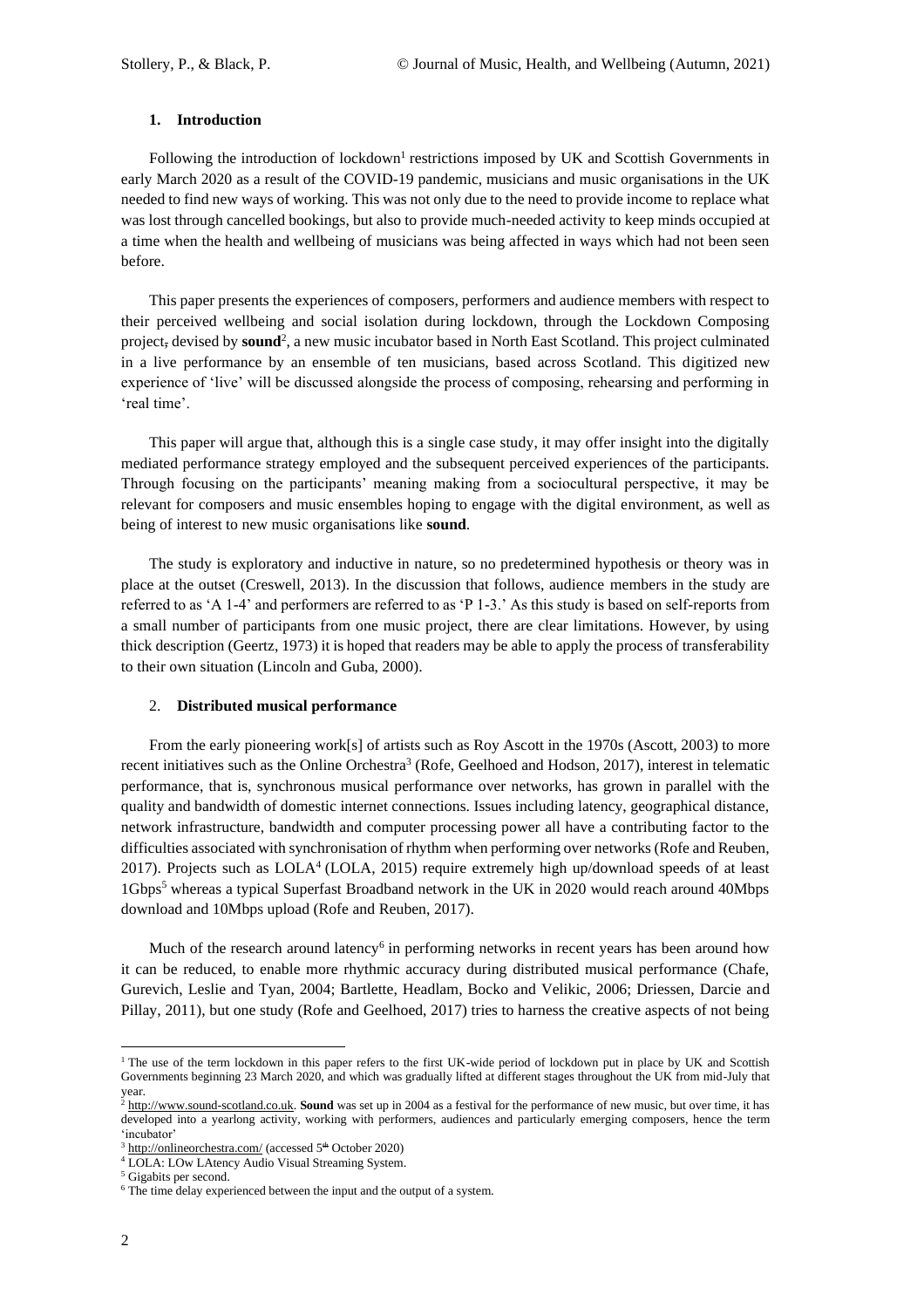### **1. Introduction**

Following the introduction of lockdown<sup>1</sup> restrictions imposed by UK and Scottish Governments in early March 2020 as a result of the COVID-19 pandemic, musicians and music organisations in the UK needed to find new ways of working. This was not only due to the need to provide income to replace what was lost through cancelled bookings, but also to provide much-needed activity to keep minds occupied at a time when the health and wellbeing of musicians was being affected in ways which had not been seen before.

This paper presents the experiences of composers, performers and audience members with respect to their perceived wellbeing and social isolation during lockdown, through the Lockdown Composing project, devised by **sound**<sup>2</sup> , a new music incubator based in North East Scotland. This project culminated in a live performance by an ensemble of ten musicians, based across Scotland. This digitized new experience of 'live' will be discussed alongside the process of composing, rehearsing and performing in 'real time'.

This paper will argue that, although this is a single case study, it may offer insight into the digitally mediated performance strategy employed and the subsequent perceived experiences of the participants. Through focusing on the participants' meaning making from a sociocultural perspective, it may be relevant for composers and music ensembles hoping to engage with the digital environment, as well as being of interest to new music organisations like **sound**.

The study is exploratory and inductive in nature, so no predetermined hypothesis or theory was in place at the outset (Creswell, 2013). In the discussion that follows, audience members in the study are referred to as 'A 1-4' and performers are referred to as 'P 1-3.' As this study is based on self-reports from a small number of participants from one music project, there are clear limitations. However, by using thick description (Geertz, 1973) it is hoped that readers may be able to apply the process of transferability to their own situation (Lincoln and Guba, 2000).

#### 2. **Distributed musical performance**

From the early pioneering work[s] of artists such as Roy Ascott in the 1970s (Ascott, 2003) to more recent initiatives such as the Online Orchestra<sup>3</sup> (Rofe, Geelhoed and Hodson, 2017), interest in telematic performance, that is, synchronous musical performance over networks, has grown in parallel with the quality and bandwidth of domestic internet connections. Issues including latency, geographical distance, network infrastructure, bandwidth and computer processing power all have a contributing factor to the difficulties associated with synchronisation of rhythm when performing over networks (Rofe and Reuben, 2017). Projects such as LOLA<sup>4</sup> (LOLA, 2015) require extremely high up/download speeds of at least 1Gbps<sup>5</sup> whereas a typical Superfast Broadband network in the UK in 2020 would reach around 40Mbps download and 10Mbps upload (Rofe and Reuben, 2017).

Much of the research around latency<sup>6</sup> in performing networks in recent years has been around how it can be reduced, to enable more rhythmic accuracy during distributed musical performance (Chafe, Gurevich, Leslie and Tyan, 2004; Bartlette, Headlam, Bocko and Velikic, 2006; Driessen, Darcie and Pillay, 2011), but one study (Rofe and Geelhoed, 2017) tries to harness the creative aspects of not being

<sup>&</sup>lt;sup>1</sup> The use of the term lockdown in this paper refers to the first UK-wide period of lockdown put in place by UK and Scottish Governments beginning 23 March 2020, and which was gradually lifted at different stages throughout the UK from mid-July that year.

<sup>&</sup>lt;sup>2</sup> [http://www.sound-scotland.co.uk.](http://www.sound-scotland.co.uk/) **Sound** was set up in 2004 as a festival for the performance of new music, but over time, it has developed into a yearlong activity, working with performers, audiences and particularly emerging composers, hence the term 'incubator'

<sup>&</sup>lt;sup>3</sup> <http://onlineorchestra.com/> (accessed 5<sup>th</sup> October 2020)

<sup>&</sup>lt;sup>4</sup> LOLA: LOw LAtency Audio Visual Streaming System.

<sup>5</sup> Gigabits per second.

<sup>&</sup>lt;sup>6</sup> The time delay experienced between the input and the output of a system.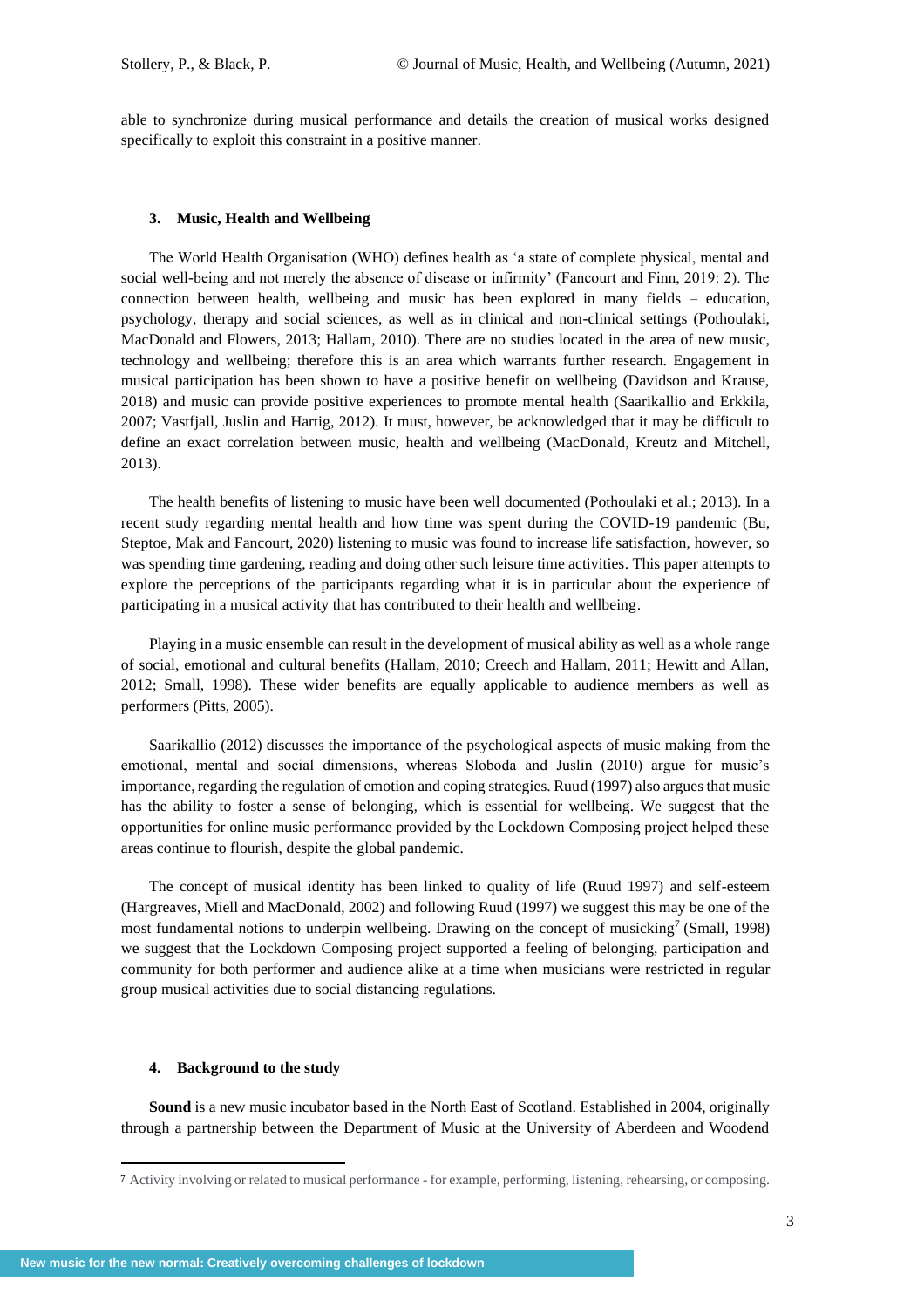able to synchronize during musical performance and details the creation of musical works designed specifically to exploit this constraint in a positive manner.

## **3. Music, Health and Wellbeing**

The World Health Organisation (WHO) defines health as 'a state of complete physical, mental and social well-being and not merely the absence of disease or infirmity' (Fancourt and Finn, 2019: 2). The connection between health, wellbeing and music has been explored in many fields – education, psychology, therapy and social sciences, as well as in clinical and non-clinical settings (Pothoulaki, MacDonald and Flowers, 2013; Hallam, 2010). There are no studies located in the area of new music, technology and wellbeing; therefore this is an area which warrants further research. Engagement in musical participation has been shown to have a positive benefit on wellbeing (Davidson and Krause, 2018) and music can provide positive experiences to promote mental health (Saarikallio and Erkkila, 2007; Vastfjall, Juslin and Hartig, 2012). It must, however, be acknowledged that it may be difficult to define an exact correlation between music, health and wellbeing (MacDonald, Kreutz and Mitchell, 2013).

The health benefits of listening to music have been well documented (Pothoulaki et al.; 2013). In a recent study regarding mental health and how time was spent during the COVID-19 pandemic (Bu, Steptoe, Mak and Fancourt, 2020) listening to music was found to increase life satisfaction, however, so was spending time gardening, reading and doing other such leisure time activities. This paper attempts to explore the perceptions of the participants regarding what it is in particular about the experience of participating in a musical activity that has contributed to their health and wellbeing.

Playing in a music ensemble can result in the development of musical ability as well as a whole range of social, emotional and cultural benefits (Hallam, 2010; Creech and Hallam, 2011; Hewitt and Allan, 2012; Small, 1998). These wider benefits are equally applicable to audience members as well as performers (Pitts, 2005).

Saarikallio (2012) discusses the importance of the psychological aspects of music making from the emotional, mental and social dimensions, whereas Sloboda and Juslin (2010) argue for music's importance, regarding the regulation of emotion and coping strategies. Ruud (1997) also argues that music has the ability to foster a sense of belonging, which is essential for wellbeing. We suggest that the opportunities for online music performance provided by the Lockdown Composing project helped these areas continue to flourish, despite the global pandemic.

The concept of musical identity has been linked to quality of life (Ruud 1997) and self-esteem (Hargreaves, Miell and MacDonald, 2002) and following Ruud (1997) we suggest this may be one of the most fundamental notions to underpin wellbeing. Drawing on the concept of musicking<sup>7</sup> (Small, 1998) we suggest that the Lockdown Composing project supported a feeling of belonging, participation and community for both performer and audience alike at a time when musicians were restricted in regular group musical activities due to social distancing regulations.

## **4. Background to the study**

**Sound** is a new music incubator based in the North East of Scotland. Established in 2004, originally through a partnership between the Department of Music at the University of Aberdeen and Woodend

<sup>7</sup> Activity involving or related to musical performance - for example, performing, listening, rehearsing, or composing.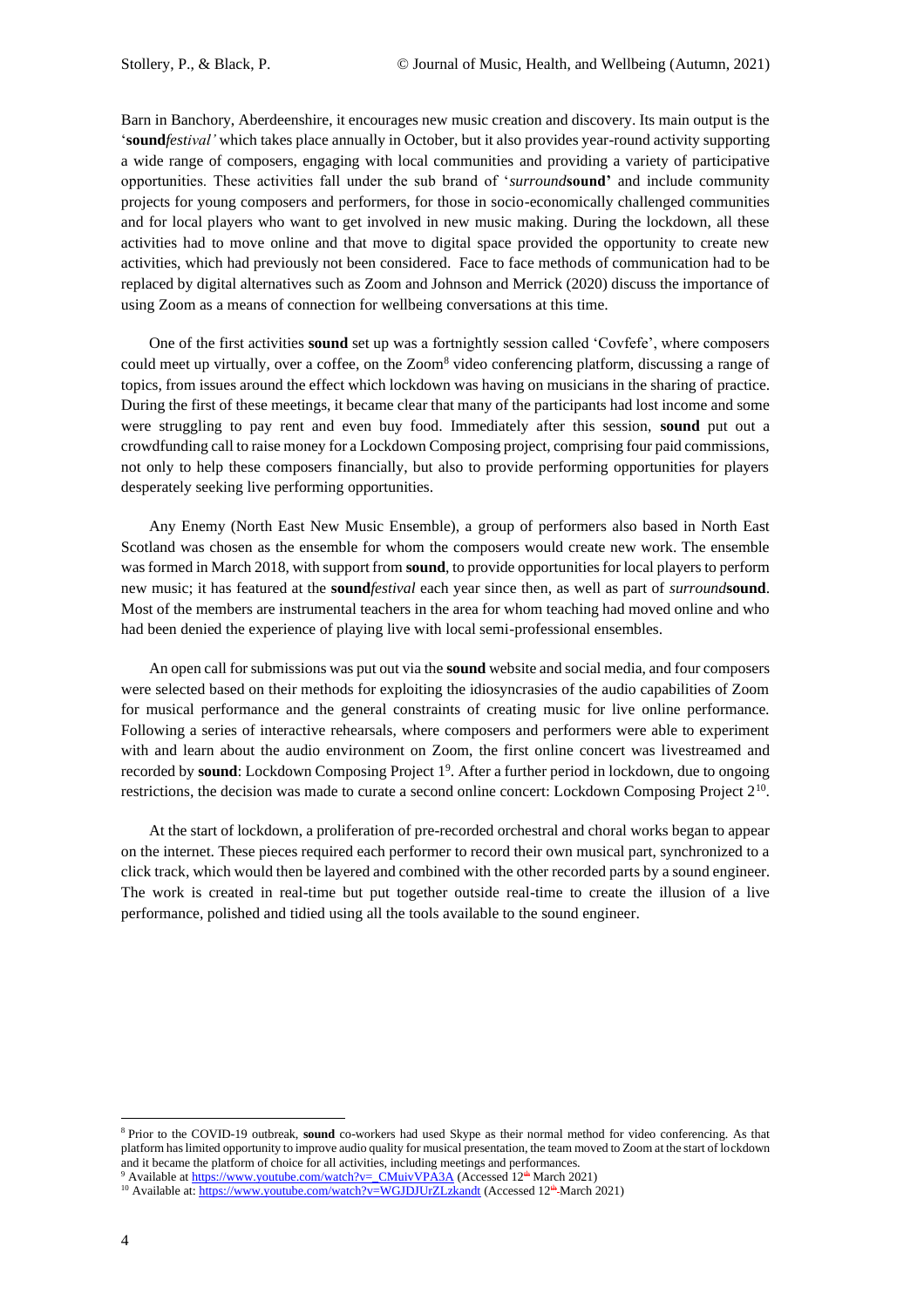Barn in Banchory, Aberdeenshire, it encourages new music creation and discovery. Its main output is the '**sound***festival'* which takes place annually in October, but it also provides year-round activity supporting a wide range of composers, engaging with local communities and providing a variety of participative opportunities. These activities fall under the sub brand of '*surround***sound'** and include community projects for young composers and performers, for those in socio-economically challenged communities and for local players who want to get involved in new music making. During the lockdown, all these activities had to move online and that move to digital space provided the opportunity to create new activities, which had previously not been considered. Face to face methods of communication had to be replaced by digital alternatives such as Zoom and Johnson and Merrick (2020) discuss the importance of using Zoom as a means of connection for wellbeing conversations at this time.

One of the first activities **sound** set up was a fortnightly session called 'Covfefe', where composers could meet up virtually, over a coffee, on the Zoom<sup>8</sup> video conferencing platform, discussing a range of topics, from issues around the effect which lockdown was having on musicians in the sharing of practice. During the first of these meetings, it became clear that many of the participants had lost income and some were struggling to pay rent and even buy food. Immediately after this session, **sound** put out a crowdfunding call to raise money for a Lockdown Composing project, comprising four paid commissions, not only to help these composers financially, but also to provide performing opportunities for players desperately seeking live performing opportunities.

Any Enemy (North East New Music Ensemble), a group of performers also based in North East Scotland was chosen as the ensemble for whom the composers would create new work. The ensemble was formed in March 2018, with support from **sound**, to provide opportunities for local players to perform new music; it has featured at the **sound***festival* each year since then, as well as part of *surround***sound**. Most of the members are instrumental teachers in the area for whom teaching had moved online and who had been denied the experience of playing live with local semi-professional ensembles.

An open call for submissions was put out via the **sound** website and social media, and four composers were selected based on their methods for exploiting the idiosyncrasies of the audio capabilities of Zoom for musical performance and the general constraints of creating music for live online performance. Following a series of interactive rehearsals, where composers and performers were able to experiment with and learn about the audio environment on Zoom, the first online concert was livestreamed and recorded by **sound**: Lockdown Composing Project 1<sup>9</sup> . After a further period in lockdown, due to ongoing restrictions, the decision was made to curate a second online concert: Lockdown Composing Project 2<sup>10</sup>.

At the start of lockdown, a proliferation of pre-recorded orchestral and choral works began to appear on the internet. These pieces required each performer to record their own musical part, synchronized to a click track, which would then be layered and combined with the other recorded parts by a sound engineer. The work is created in real-time but put together outside real-time to create the illusion of a live performance, polished and tidied using all the tools available to the sound engineer.

<sup>8</sup> Prior to the COVID-19 outbreak, **sound** co-workers had used Skype as their normal method for video conferencing. As that platform has limited opportunity to improve audio quality for musical presentation, the team moved to Zoom at the start of lockdown and it became the platform of choice for all activities, including meetings and performances.

Available a[t https://www.youtube.com/watch?v=\\_CMuivVPA3A](https://www.youtube.com/watch?v=_CMuivVPA3A) (Accessed 12<sup>th</sup> March 2021)

<sup>&</sup>lt;sup>10</sup> Available at[: https://www.youtube.com/watch?v=WGJDJUrZLzkandt](https://www.youtube.com/watch?v=WGJDJUrZLzkandt) (Accessed 12<sup>th</sup> March 2021)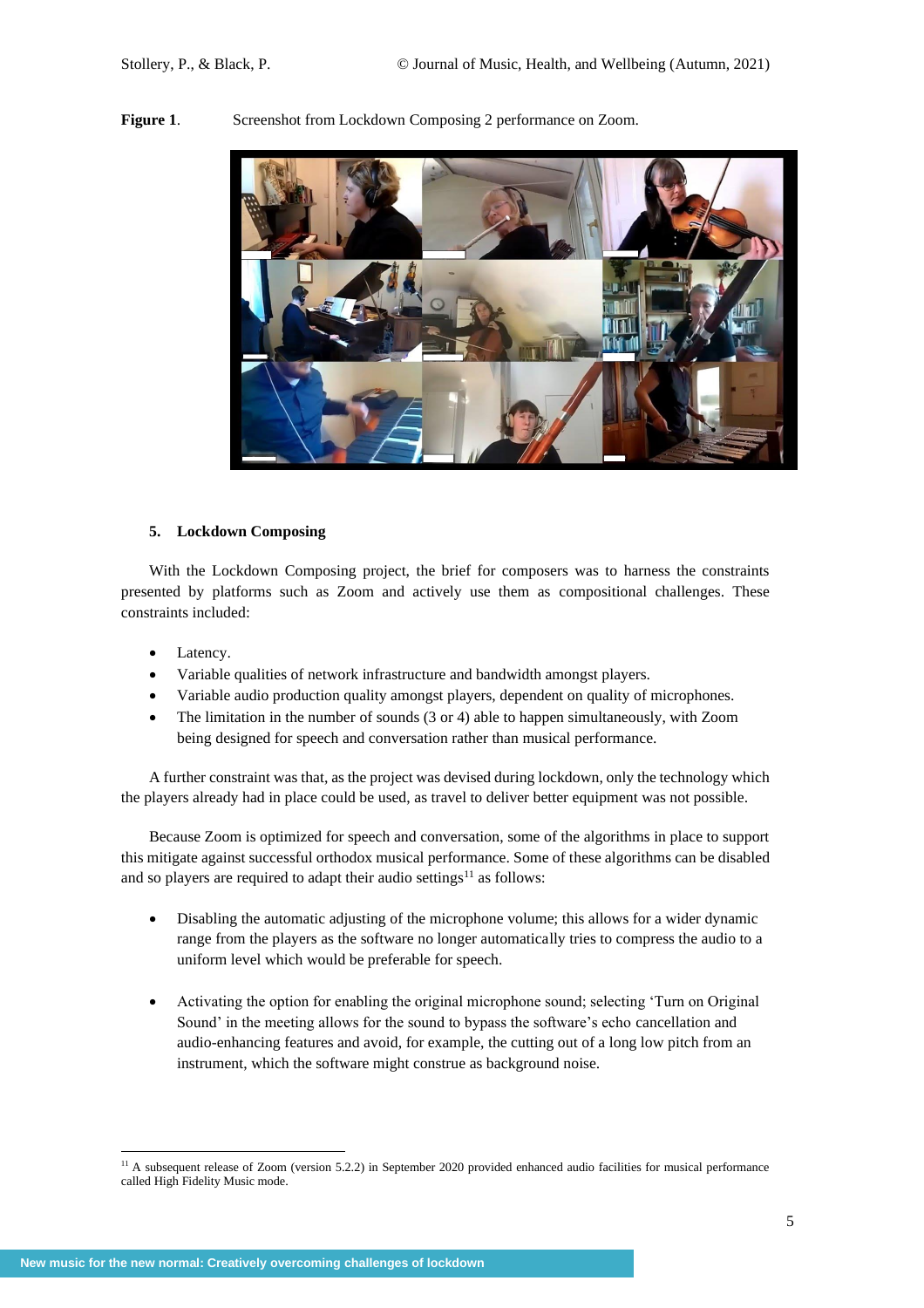**Figure 1**. Screenshot from Lockdown Composing 2 performance on Zoom.



### **5. Lockdown Composing**

With the Lockdown Composing project, the brief for composers was to harness the constraints presented by platforms such as Zoom and actively use them as compositional challenges. These constraints included:

- Latency.
- Variable qualities of network infrastructure and bandwidth amongst players.
- Variable audio production quality amongst players, dependent on quality of microphones.
- The limitation in the number of sounds (3 or 4) able to happen simultaneously, with Zoom being designed for speech and conversation rather than musical performance.

A further constraint was that, as the project was devised during lockdown, only the technology which the players already had in place could be used, as travel to deliver better equipment was not possible.

Because Zoom is optimized for speech and conversation, some of the algorithms in place to support this mitigate against successful orthodox musical performance. Some of these algorithms can be disabled and so players are required to adapt their audio settings<sup>11</sup> as follows:

- Disabling the automatic adjusting of the microphone volume; this allows for a wider dynamic range from the players as the software no longer automatically tries to compress the audio to a uniform level which would be preferable for speech.
- Activating the option for enabling the original microphone sound; selecting 'Turn on Original Sound' in the meeting allows for the sound to bypass the software's echo cancellation and audio-enhancing features and avoid, for example, the cutting out of a long low pitch from an instrument, which the software might construe as background noise.

<sup>&</sup>lt;sup>11</sup> A subsequent release of Zoom (version 5.2.2) in September 2020 provided enhanced audio facilities for musical performance called High Fidelity Music mode.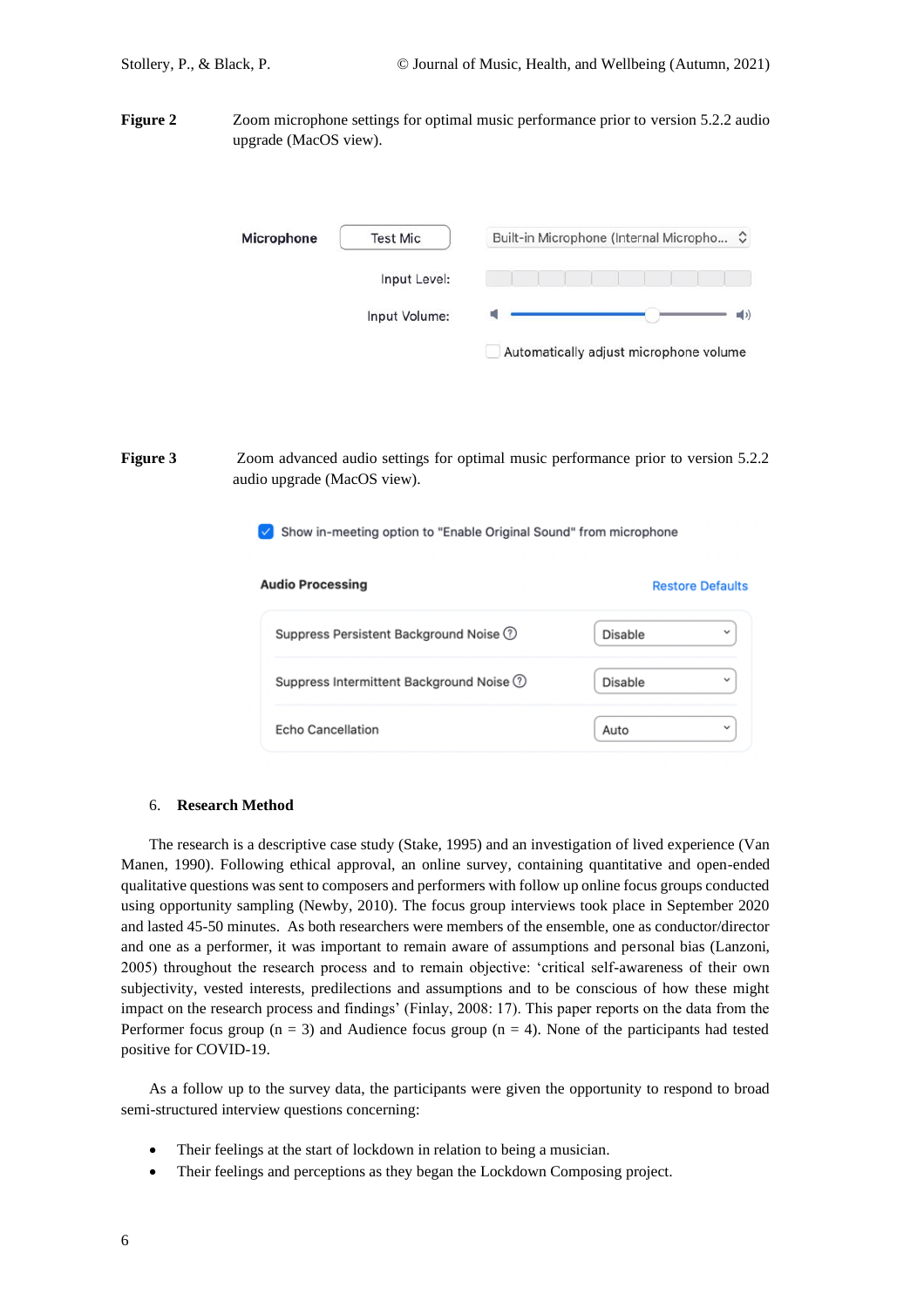**Figure 2** Zoom microphone settings for optimal music performance prior to version 5.2.2 audio upgrade (MacOS view).

| <b>Microphone</b> | <b>Test Mic</b> | Built-in Microphone (Internal Micropho $\circ$ |          |
|-------------------|-----------------|------------------------------------------------|----------|
|                   | Input Level:    |                                                |          |
|                   | Input Volume:   |                                                | $\Box$ ) |
|                   |                 | Automatically adjust microphone volume         |          |

**Figure 3** Zoom advanced audio settings for optimal music performance prior to version 5.2.2 audio upgrade (MacOS view).

 $\vee$  Show in-meeting option to "Enable Original Sound" from microphone

| Audio Processing                         | <b>Restore Defaults</b> |  |
|------------------------------------------|-------------------------|--|
| Suppress Persistent Background Noise (?) | Disable<br>$\checkmark$ |  |
| Suppress Intermittent Background Noise 2 | Disable<br>$\checkmark$ |  |
| <b>Echo Cancellation</b>                 | $\checkmark$<br>Auto    |  |

#### 6. **Research Method**

The research is a descriptive case study (Stake, 1995) and an investigation of lived experience (Van Manen, 1990). Following ethical approval, an online survey, containing quantitative and open-ended qualitative questions was sent to composers and performers with follow up online focus groups conducted using opportunity sampling (Newby, 2010). The focus group interviews took place in September 2020 and lasted 45-50 minutes. As both researchers were members of the ensemble, one as conductor/director and one as a performer, it was important to remain aware of assumptions and personal bias (Lanzoni, 2005) throughout the research process and to remain objective: 'critical self-awareness of their own subjectivity, vested interests, predilections and assumptions and to be conscious of how these might impact on the research process and findings' (Finlay, 2008: 17). This paper reports on the data from the Performer focus group ( $n = 3$ ) and Audience focus group ( $n = 4$ ). None of the participants had tested positive for COVID-19.

As a follow up to the survey data, the participants were given the opportunity to respond to broad semi-structured interview questions concerning:

- Their feelings at the start of lockdown in relation to being a musician.
- Their feelings and perceptions as they began the Lockdown Composing project.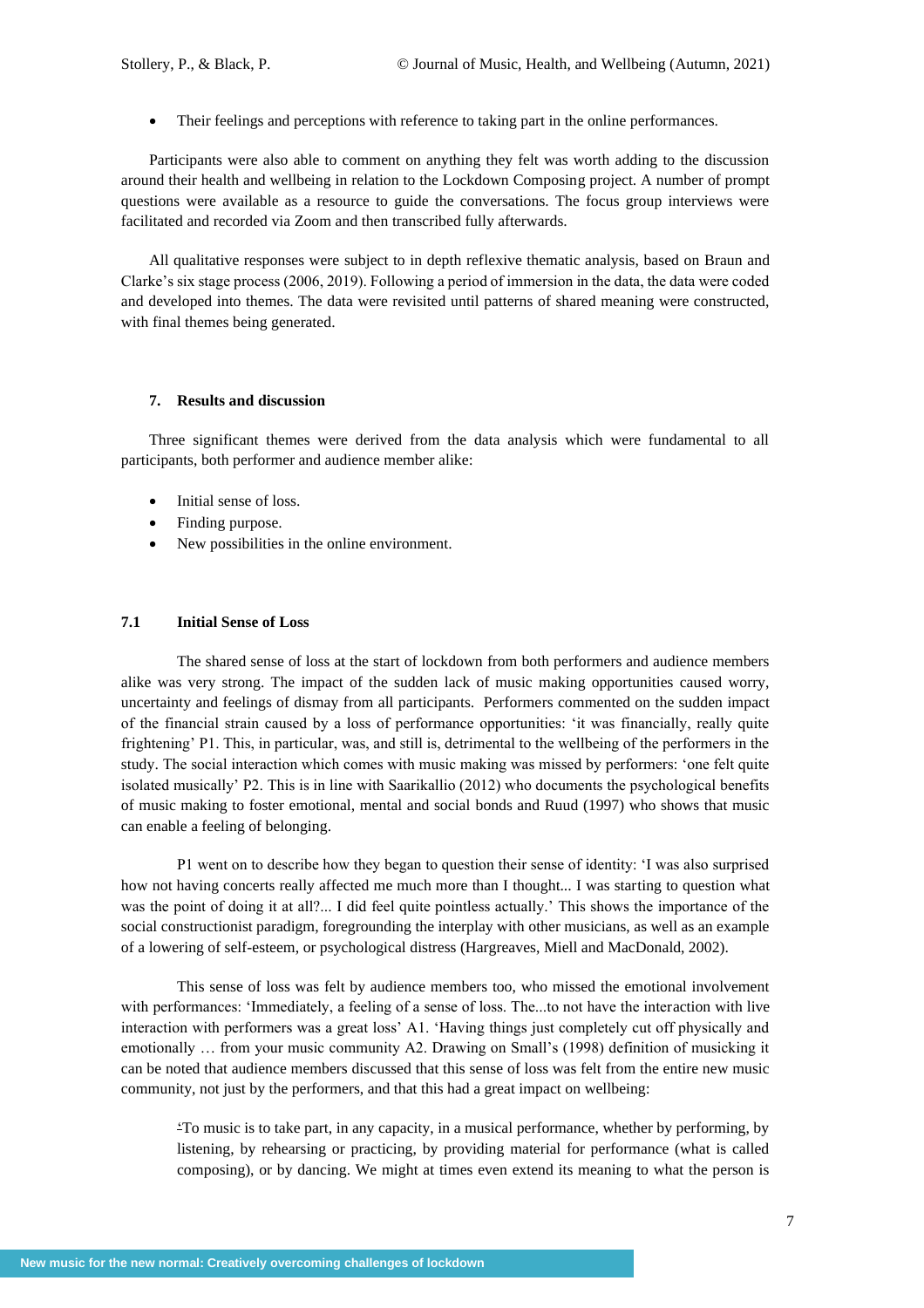• Their feelings and perceptions with reference to taking part in the online performances.

Participants were also able to comment on anything they felt was worth adding to the discussion around their health and wellbeing in relation to the Lockdown Composing project. A number of prompt questions were available as a resource to guide the conversations. The focus group interviews were facilitated and recorded via Zoom and then transcribed fully afterwards.

All qualitative responses were subject to in depth reflexive thematic analysis, based on Braun and Clarke's six stage process (2006, 2019). Following a period of immersion in the data, the data were coded and developed into themes. The data were revisited until patterns of shared meaning were constructed, with final themes being generated.

# **7. Results and discussion**

Three significant themes were derived from the data analysis which were fundamental to all participants, both performer and audience member alike:

- Initial sense of loss.
- Finding purpose.
- New possibilities in the online environment.

# **7.1 Initial Sense of Loss**

The shared sense of loss at the start of lockdown from both performers and audience members alike was very strong. The impact of the sudden lack of music making opportunities caused worry, uncertainty and feelings of dismay from all participants. Performers commented on the sudden impact of the financial strain caused by a loss of performance opportunities: 'it was financially, really quite frightening' P1. This, in particular, was, and still is, detrimental to the wellbeing of the performers in the study. The social interaction which comes with music making was missed by performers: 'one felt quite isolated musically' P2. This is in line with Saarikallio (2012) who documents the psychological benefits of music making to foster emotional, mental and social bonds and Ruud (1997) who shows that music can enable a feeling of belonging.

P1 went on to describe how they began to question their sense of identity: 'I was also surprised how not having concerts really affected me much more than I thought... I was starting to question what was the point of doing it at all?... I did feel quite pointless actually.' This shows the importance of the social constructionist paradigm, foregrounding the interplay with other musicians, as well as an example of a lowering of self-esteem, or psychological distress (Hargreaves, Miell and MacDonald, 2002).

This sense of loss was felt by audience members too, who missed the emotional involvement with performances: 'Immediately, a feeling of a sense of loss. The...to not have the interaction with live interaction with performers was a great loss' A1. 'Having things just completely cut off physically and emotionally … from your music community A2. Drawing on Small's (1998) definition of musicking it can be noted that audience members discussed that this sense of loss was felt from the entire new music community, not just by the performers, and that this had a great impact on wellbeing:

'To music is to take part, in any capacity, in a musical performance, whether by performing, by listening, by rehearsing or practicing, by providing material for performance (what is called composing), or by dancing. We might at times even extend its meaning to what the person is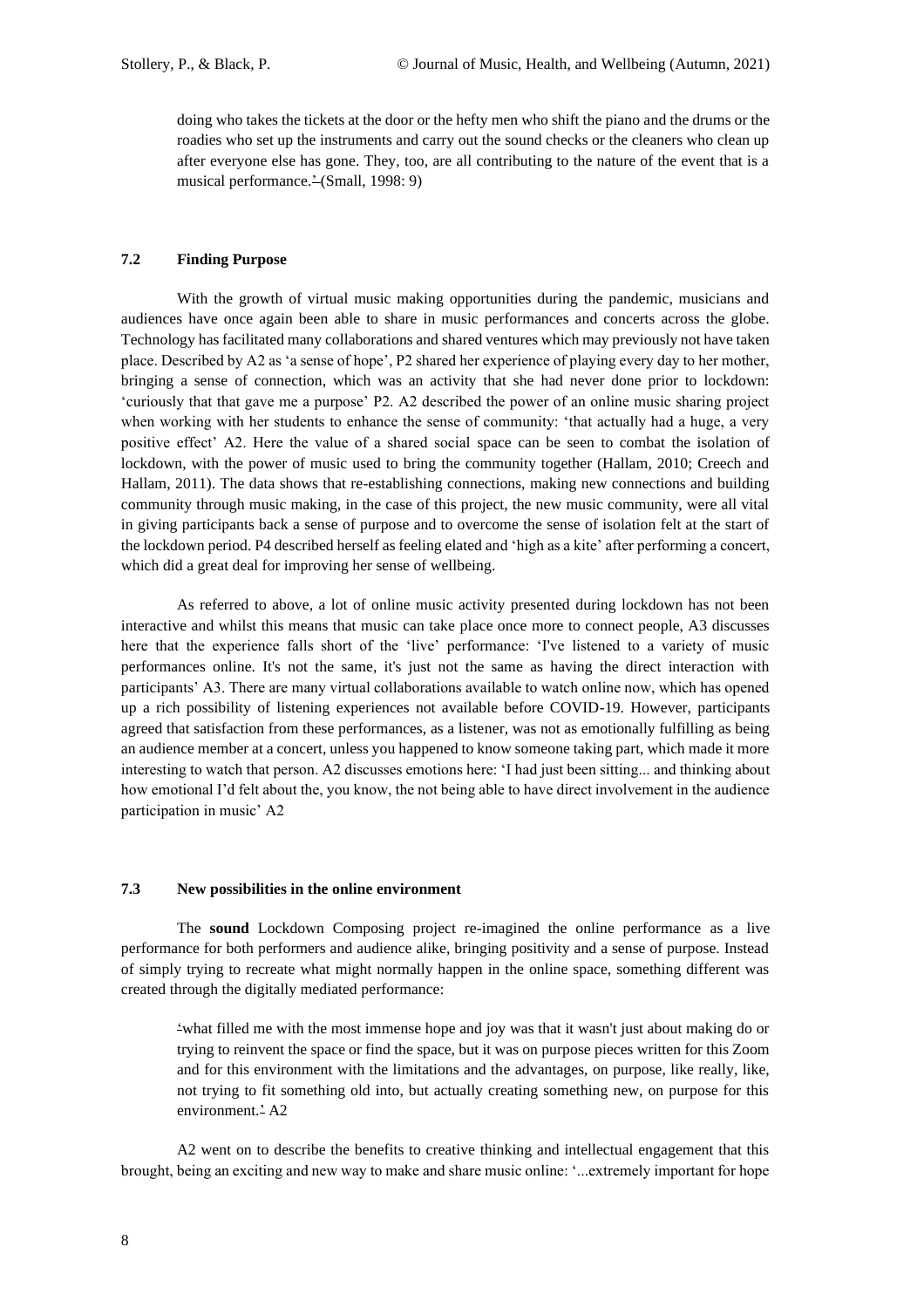doing who takes the tickets at the door or the hefty men who shift the piano and the drums or the roadies who set up the instruments and carry out the sound checks or the cleaners who clean up after everyone else has gone. They, too, are all contributing to the nature of the event that is a musical performance.<sup>2</sup> (Small, 1998: 9)

## **7.2 Finding Purpose**

With the growth of virtual music making opportunities during the pandemic, musicians and audiences have once again been able to share in music performances and concerts across the globe. Technology has facilitated many collaborations and shared ventures which may previously not have taken place. Described by A2 as 'a sense of hope', P2 shared her experience of playing every day to her mother, bringing a sense of connection, which was an activity that she had never done prior to lockdown: 'curiously that that gave me a purpose' P2. A2 described the power of an online music sharing project when working with her students to enhance the sense of community: 'that actually had a huge, a very positive effect' A2. Here the value of a shared social space can be seen to combat the isolation of lockdown, with the power of music used to bring the community together (Hallam, 2010; Creech and Hallam, 2011). The data shows that re-establishing connections, making new connections and building community through music making, in the case of this project, the new music community, were all vital in giving participants back a sense of purpose and to overcome the sense of isolation felt at the start of the lockdown period. P4 described herself as feeling elated and 'high as a kite' after performing a concert, which did a great deal for improving her sense of wellbeing.

As referred to above, a lot of online music activity presented during lockdown has not been interactive and whilst this means that music can take place once more to connect people, A3 discusses here that the experience falls short of the 'live' performance: 'I've listened to a variety of music performances online. It's not the same, it's just not the same as having the direct interaction with participants' A3. There are many virtual collaborations available to watch online now, which has opened up a rich possibility of listening experiences not available before COVID-19. However, participants agreed that satisfaction from these performances, as a listener, was not as emotionally fulfilling as being an audience member at a concert, unless you happened to know someone taking part, which made it more interesting to watch that person. A2 discusses emotions here: 'I had just been sitting... and thinking about how emotional I'd felt about the, you know, the not being able to have direct involvement in the audience participation in music' A2

## **7.3 New possibilities in the online environment**

The **sound** Lockdown Composing project re-imagined the online performance as a live performance for both performers and audience alike, bringing positivity and a sense of purpose. Instead of simply trying to recreate what might normally happen in the online space, something different was created through the digitally mediated performance:

'what filled me with the most immense hope and joy was that it wasn't just about making do or trying to reinvent the space or find the space, but it was on purpose pieces written for this Zoom and for this environment with the limitations and the advantages, on purpose, like really, like, not trying to fit something old into, but actually creating something new, on purpose for this environment.' A2

A2 went on to describe the benefits to creative thinking and intellectual engagement that this brought, being an exciting and new way to make and share music online: '...extremely important for hope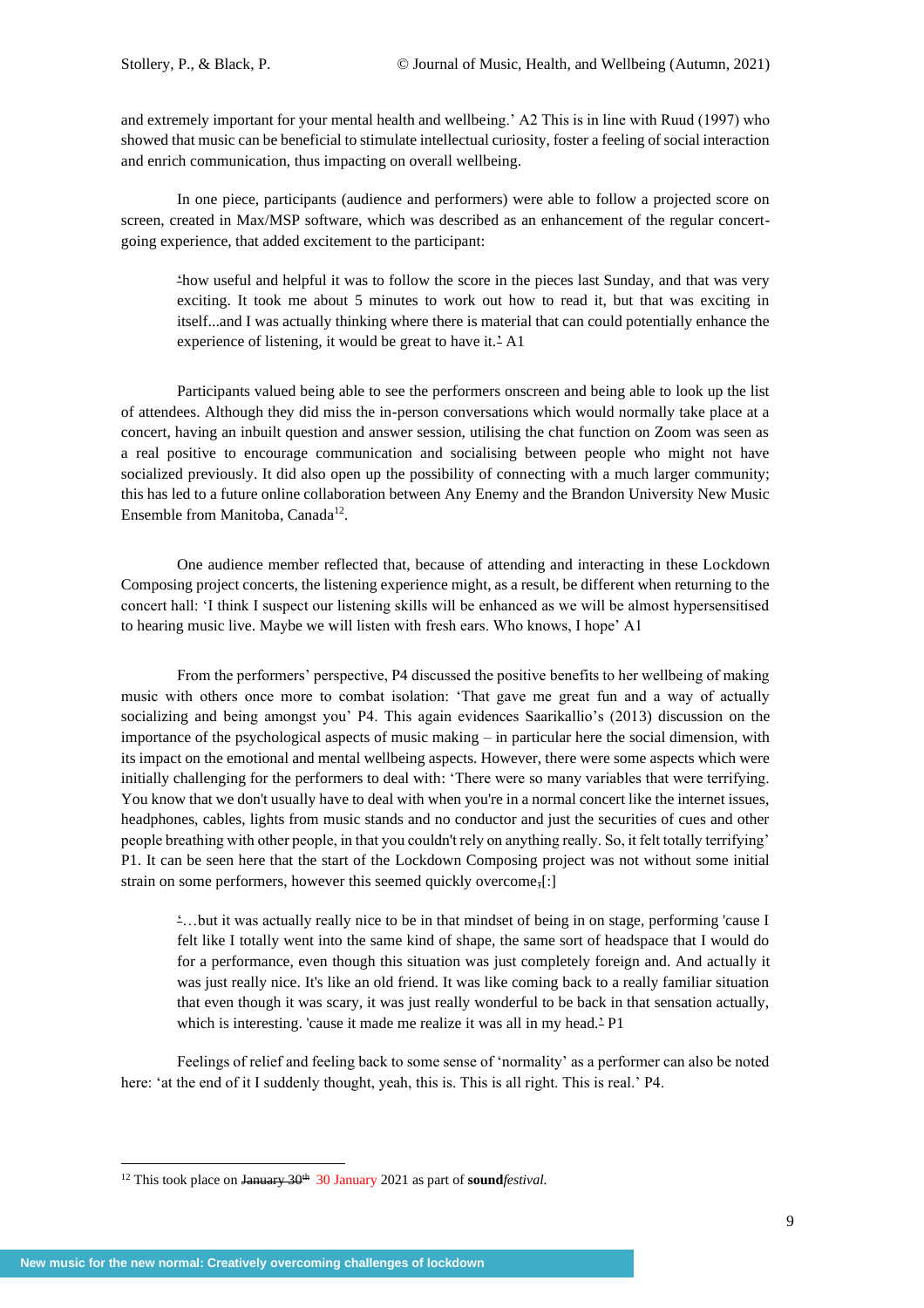and extremely important for your mental health and wellbeing.' A2 This is in line with Ruud (1997) who showed that music can be beneficial to stimulate intellectual curiosity, foster a feeling of social interaction and enrich communication, thus impacting on overall wellbeing.

In one piece, participants (audience and performers) were able to follow a projected score on screen, created in Max/MSP software, which was described as an enhancement of the regular concertgoing experience, that added excitement to the participant:

'how useful and helpful it was to follow the score in the pieces last Sunday, and that was very exciting. It took me about 5 minutes to work out how to read it, but that was exciting in itself...and I was actually thinking where there is material that can could potentially enhance the experience of listening, it would be great to have it.<sup>2</sup> A1

Participants valued being able to see the performers onscreen and being able to look up the list of attendees. Although they did miss the in-person conversations which would normally take place at a concert, having an inbuilt question and answer session, utilising the chat function on Zoom was seen as a real positive to encourage communication and socialising between people who might not have socialized previously. It did also open up the possibility of connecting with a much larger community; this has led to a future online collaboration between Any Enemy and the Brandon University New Music Ensemble from Manitoba, Canada<sup>12</sup>.

One audience member reflected that, because of attending and interacting in these Lockdown Composing project concerts, the listening experience might, as a result, be different when returning to the concert hall: 'I think I suspect our listening skills will be enhanced as we will be almost hypersensitised to hearing music live. Maybe we will listen with fresh ears. Who knows, I hope' A1

From the performers' perspective, P4 discussed the positive benefits to her wellbeing of making music with others once more to combat isolation: 'That gave me great fun and a way of actually socializing and being amongst you' P4. This again evidences Saarikallio's (2013) discussion on the importance of the psychological aspects of music making – in particular here the social dimension, with its impact on the emotional and mental wellbeing aspects. However, there were some aspects which were initially challenging for the performers to deal with: 'There were so many variables that were terrifying. You know that we don't usually have to deal with when you're in a normal concert like the internet issues, headphones, cables, lights from music stands and no conductor and just the securities of cues and other people breathing with other people, in that you couldn't rely on anything really. So, it felt totally terrifying' P1. It can be seen here that the start of the Lockdown Composing project was not without some initial strain on some performers, however this seemed quickly overcome,[:]

'…but it was actually really nice to be in that mindset of being in on stage, performing 'cause I felt like I totally went into the same kind of shape, the same sort of headspace that I would do for a performance, even though this situation was just completely foreign and. And actually it was just really nice. It's like an old friend. It was like coming back to a really familiar situation that even though it was scary, it was just really wonderful to be back in that sensation actually, which is interesting. 'cause it made me realize it was all in my head.' P1

Feelings of relief and feeling back to some sense of 'normality' as a performer can also be noted here: 'at the end of it I suddenly thought, yeah, this is. This is all right. This is real.' P4.

<sup>&</sup>lt;sup>12</sup> This took place on January 30<sup>th</sup> 30 January 2021 as part of **sound** *festival*.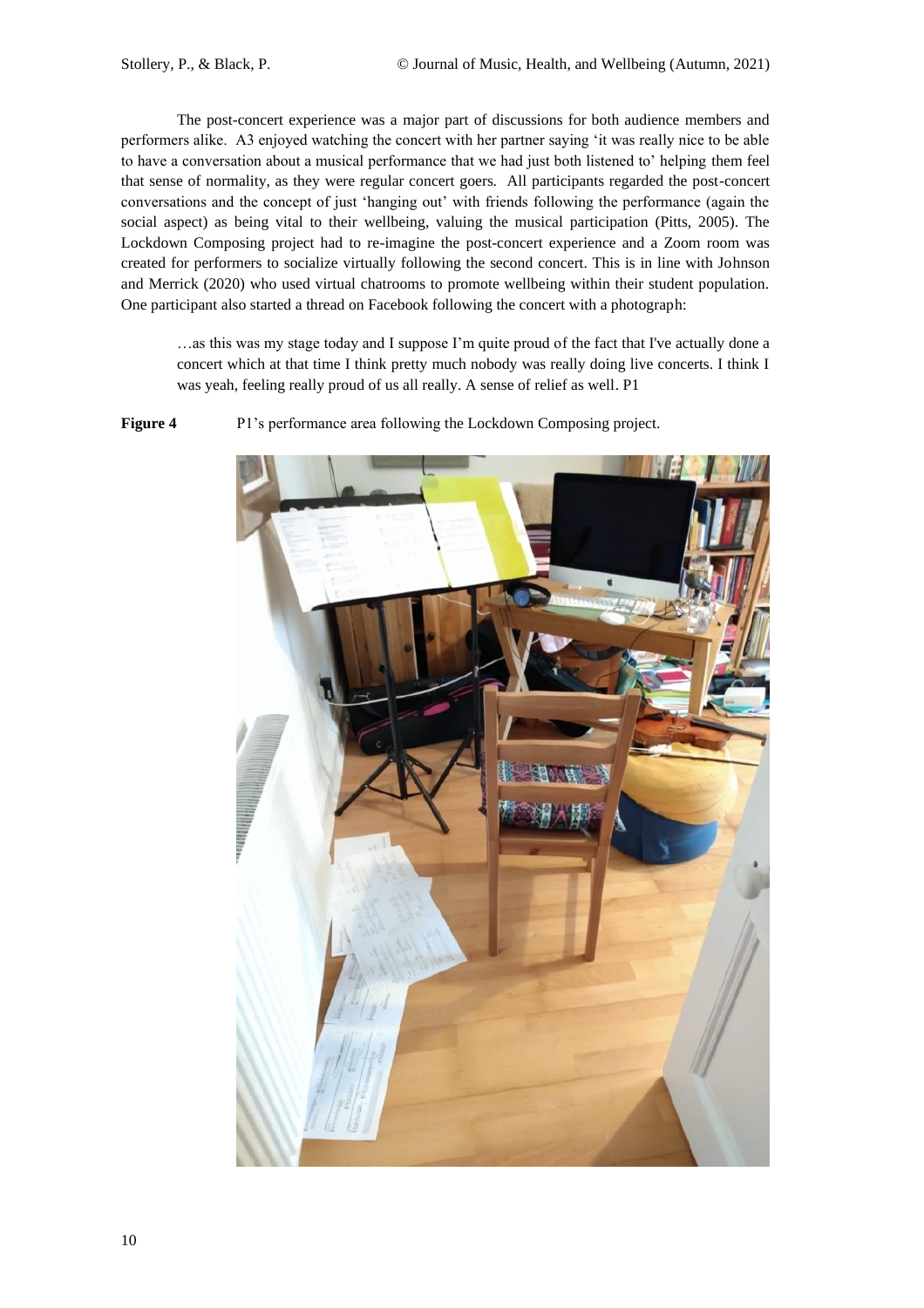The post-concert experience was a major part of discussions for both audience members and performers alike. A3 enjoyed watching the concert with her partner saying 'it was really nice to be able to have a conversation about a musical performance that we had just both listened to' helping them feel that sense of normality, as they were regular concert goers. All participants regarded the post-concert conversations and the concept of just 'hanging out' with friends following the performance (again the social aspect) as being vital to their wellbeing, valuing the musical participation (Pitts, 2005). The Lockdown Composing project had to re-imagine the post-concert experience and a Zoom room was created for performers to socialize virtually following the second concert. This is in line with Johnson and Merrick (2020) who used virtual chatrooms to promote wellbeing within their student population. One participant also started a thread on Facebook following the concert with a photograph:

…as this was my stage today and I suppose I'm quite proud of the fact that I've actually done a concert which at that time I think pretty much nobody was really doing live concerts. I think I was yeah, feeling really proud of us all really. A sense of relief as well. P1

**Figure 4** P1's performance area following the Lockdown Composing project.

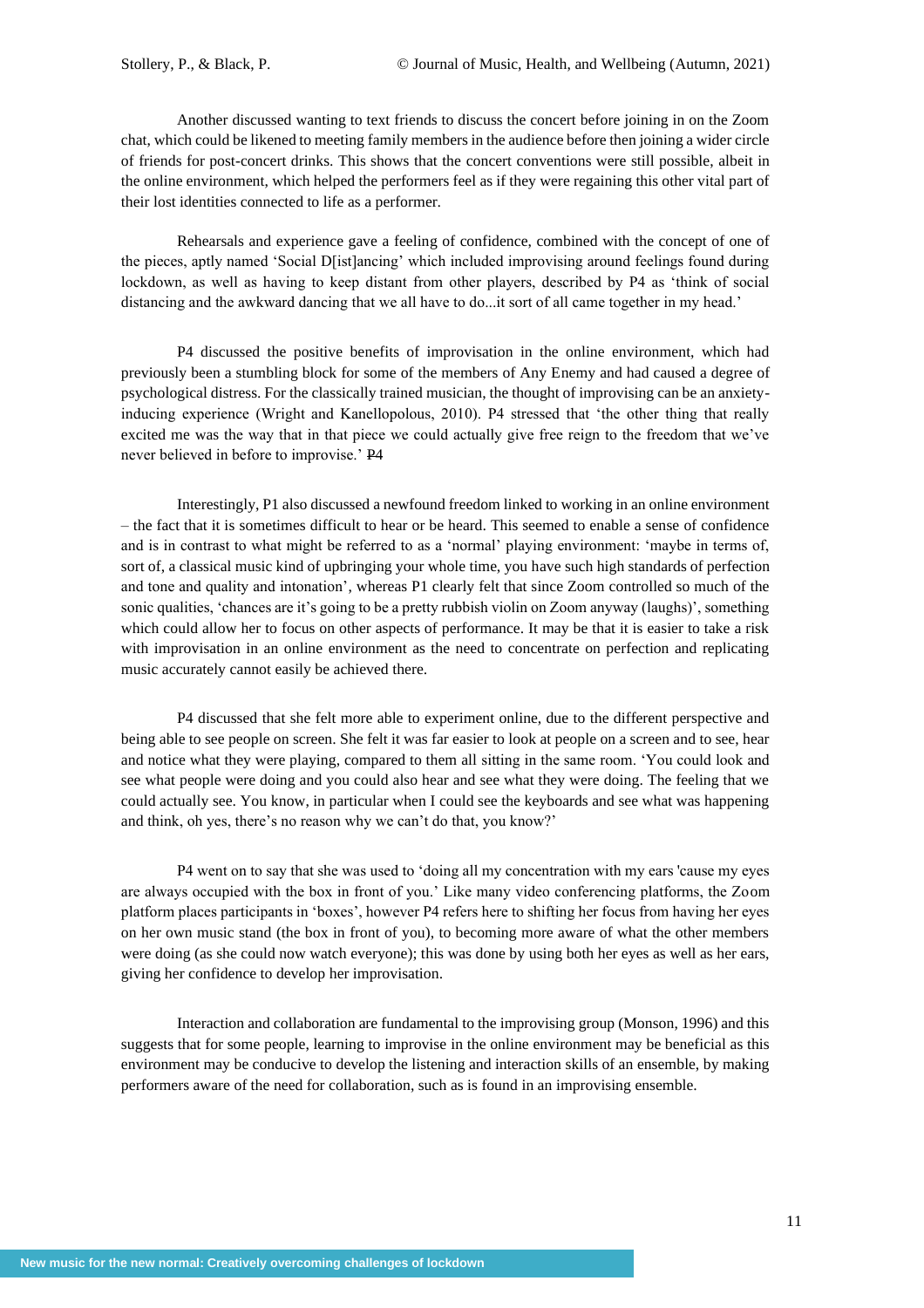Another discussed wanting to text friends to discuss the concert before joining in on the Zoom chat, which could be likened to meeting family members in the audience before then joining a wider circle of friends for post-concert drinks. This shows that the concert conventions were still possible, albeit in the online environment, which helped the performers feel as if they were regaining this other vital part of their lost identities connected to life as a performer.

Rehearsals and experience gave a feeling of confidence, combined with the concept of one of the pieces, aptly named 'Social D[ist]ancing' which included improvising around feelings found during lockdown, as well as having to keep distant from other players, described by P4 as 'think of social distancing and the awkward dancing that we all have to do...it sort of all came together in my head.'

P4 discussed the positive benefits of improvisation in the online environment, which had previously been a stumbling block for some of the members of Any Enemy and had caused a degree of psychological distress. For the classically trained musician, the thought of improvising can be an anxietyinducing experience (Wright and Kanellopolous, 2010). P4 stressed that 'the other thing that really excited me was the way that in that piece we could actually give free reign to the freedom that we've never believed in before to improvise.' P4

Interestingly, P1 also discussed a newfound freedom linked to working in an online environment – the fact that it is sometimes difficult to hear or be heard. This seemed to enable a sense of confidence and is in contrast to what might be referred to as a 'normal' playing environment: 'maybe in terms of, sort of, a classical music kind of upbringing your whole time, you have such high standards of perfection and tone and quality and intonation', whereas P1 clearly felt that since Zoom controlled so much of the sonic qualities, 'chances are it's going to be a pretty rubbish violin on Zoom anyway (laughs)', something which could allow her to focus on other aspects of performance. It may be that it is easier to take a risk with improvisation in an online environment as the need to concentrate on perfection and replicating music accurately cannot easily be achieved there.

P4 discussed that she felt more able to experiment online, due to the different perspective and being able to see people on screen. She felt it was far easier to look at people on a screen and to see, hear and notice what they were playing, compared to them all sitting in the same room. 'You could look and see what people were doing and you could also hear and see what they were doing. The feeling that we could actually see. You know, in particular when I could see the keyboards and see what was happening and think, oh yes, there's no reason why we can't do that, you know?'

P4 went on to say that she was used to 'doing all my concentration with my ears 'cause my eyes are always occupied with the box in front of you.' Like many video conferencing platforms, the Zoom platform places participants in 'boxes', however P4 refers here to shifting her focus from having her eyes on her own music stand (the box in front of you), to becoming more aware of what the other members were doing (as she could now watch everyone); this was done by using both her eyes as well as her ears, giving her confidence to develop her improvisation.

Interaction and collaboration are fundamental to the improvising group (Monson, 1996) and this suggests that for some people, learning to improvise in the online environment may be beneficial as this environment may be conducive to develop the listening and interaction skills of an ensemble, by making performers aware of the need for collaboration, such as is found in an improvising ensemble.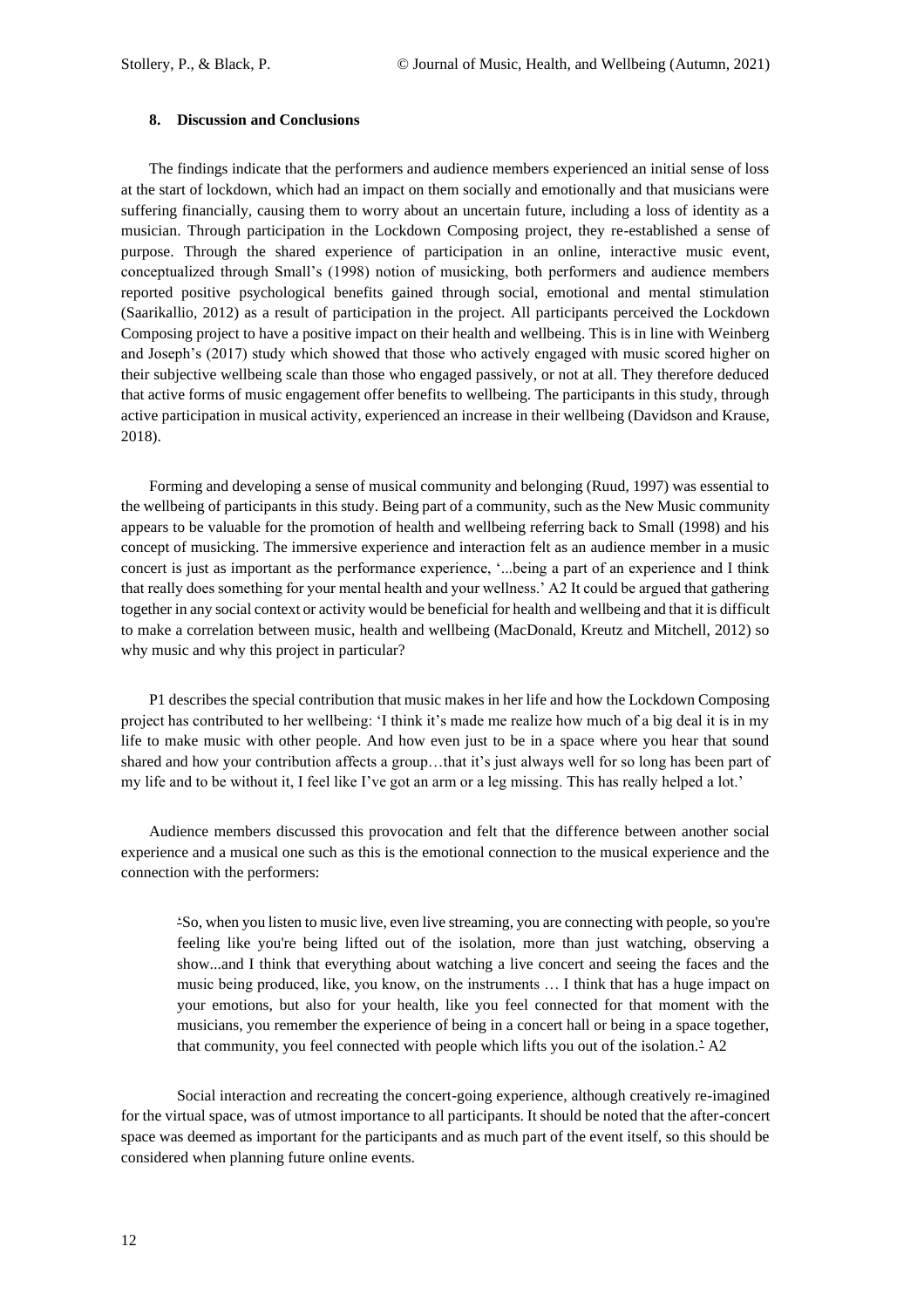#### **8. Discussion and Conclusions**

The findings indicate that the performers and audience members experienced an initial sense of loss at the start of lockdown, which had an impact on them socially and emotionally and that musicians were suffering financially, causing them to worry about an uncertain future, including a loss of identity as a musician. Through participation in the Lockdown Composing project, they re-established a sense of purpose. Through the shared experience of participation in an online, interactive music event, conceptualized through Small's (1998) notion of musicking, both performers and audience members reported positive psychological benefits gained through social, emotional and mental stimulation (Saarikallio, 2012) as a result of participation in the project. All participants perceived the Lockdown Composing project to have a positive impact on their health and wellbeing. This is in line with Weinberg and Joseph's (2017) study which showed that those who actively engaged with music scored higher on their subjective wellbeing scale than those who engaged passively, or not at all. They therefore deduced that active forms of music engagement offer benefits to wellbeing. The participants in this study, through active participation in musical activity, experienced an increase in their wellbeing (Davidson and Krause, 2018).

Forming and developing a sense of musical community and belonging (Ruud, 1997) was essential to the wellbeing of participants in this study. Being part of a community, such as the New Music community appears to be valuable for the promotion of health and wellbeing referring back to Small (1998) and his concept of musicking. The immersive experience and interaction felt as an audience member in a music concert is just as important as the performance experience, '...being a part of an experience and I think that really does something for your mental health and your wellness.' A2 It could be argued that gathering together in any social context or activity would be beneficial for health and wellbeing and that it is difficult to make a correlation between music, health and wellbeing (MacDonald, Kreutz and Mitchell, 2012) so why music and why this project in particular?

P1 describes the special contribution that music makes in her life and how the Lockdown Composing project has contributed to her wellbeing: 'I think it's made me realize how much of a big deal it is in my life to make music with other people. And how even just to be in a space where you hear that sound shared and how your contribution affects a group...that it's just always well for so long has been part of my life and to be without it, I feel like I've got an arm or a leg missing. This has really helped a lot.'

Audience members discussed this provocation and felt that the difference between another social experience and a musical one such as this is the emotional connection to the musical experience and the connection with the performers:

'So, when you listen to music live, even live streaming, you are connecting with people, so you're feeling like you're being lifted out of the isolation, more than just watching, observing a show...and I think that everything about watching a live concert and seeing the faces and the music being produced, like, you know, on the instruments … I think that has a huge impact on your emotions, but also for your health, like you feel connected for that moment with the musicians, you remember the experience of being in a concert hall or being in a space together, that community, you feel connected with people which lifts you out of the isolation.' A2

Social interaction and recreating the concert-going experience, although creatively re-imagined for the virtual space, was of utmost importance to all participants. It should be noted that the after-concert space was deemed as important for the participants and as much part of the event itself, so this should be considered when planning future online events.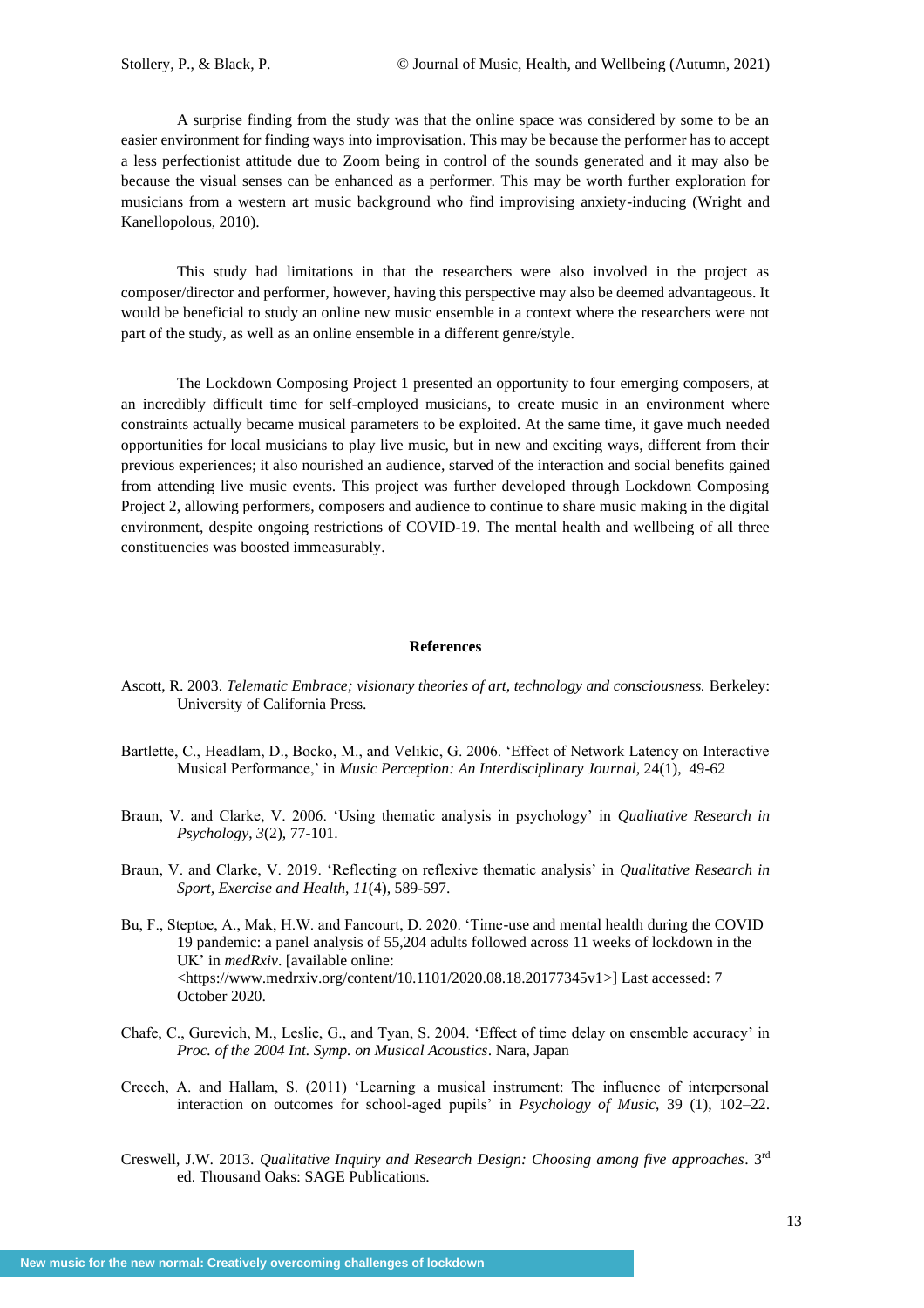A surprise finding from the study was that the online space was considered by some to be an easier environment for finding ways into improvisation. This may be because the performer has to accept a less perfectionist attitude due to Zoom being in control of the sounds generated and it may also be because the visual senses can be enhanced as a performer. This may be worth further exploration for musicians from a western art music background who find improvising anxiety-inducing (Wright and Kanellopolous, 2010).

This study had limitations in that the researchers were also involved in the project as composer/director and performer, however, having this perspective may also be deemed advantageous. It would be beneficial to study an online new music ensemble in a context where the researchers were not part of the study, as well as an online ensemble in a different genre/style.

The Lockdown Composing Project 1 presented an opportunity to four emerging composers, at an incredibly difficult time for self-employed musicians, to create music in an environment where constraints actually became musical parameters to be exploited. At the same time, it gave much needed opportunities for local musicians to play live music, but in new and exciting ways, different from their previous experiences; it also nourished an audience, starved of the interaction and social benefits gained from attending live music events. This project was further developed through Lockdown Composing Project 2, allowing performers, composers and audience to continue to share music making in the digital environment, despite ongoing restrictions of COVID-19. The mental health and wellbeing of all three constituencies was boosted immeasurably.

## **References**

- Ascott, R. 2003. *Telematic Embrace; visionary theories of art, technology and consciousness.* Berkeley: University of California Press.
- Bartlette, C., Headlam, D., Bocko, M., and Velikic, G. 2006. 'Effect of Network Latency on Interactive Musical Performance,' in *Music Perception: An Interdisciplinary Journal,* 24(1), 49-62
- Braun, V. and Clarke, V. 2006. 'Using thematic analysis in psychology' in *Qualitative Research in Psychology*, *3*(2), 77-101.
- Braun, V. and Clarke, V. 2019. 'Reflecting on reflexive thematic analysis' in *Qualitative Research in Sport, Exercise and Health*, *11*(4), 589-597.
- Bu, F., Steptoe, A., Mak, H.W. and Fancourt, D. 2020. 'Time-use and mental health during the COVID 19 pandemic: a panel analysis of 55,204 adults followed across 11 weeks of lockdown in the UK' in *medRxiv*. [available online:  $\langle$ https://www.medrxiv.org/content/10.1101/2020.08.18.20177345v1>] Last accessed: 7 October 2020.
- Chafe, C., Gurevich, M., Leslie, G., and Tyan, S. 2004. 'Effect of time delay on ensemble accuracy' in *Proc. of the 2004 Int. Symp. on Musical Acoustics*. Nara, Japan
- Creech, A. and Hallam, S. (2011) 'Learning a musical instrument: The influence of interpersonal interaction on outcomes for school-aged pupils' in *Psychology of Music*, 39 (1), 102–22.
- Creswell, J.W. 2013. *Qualitative Inquiry and Research Design: Choosing among five approaches*. 3rd ed. Thousand Oaks: SAGE Publications.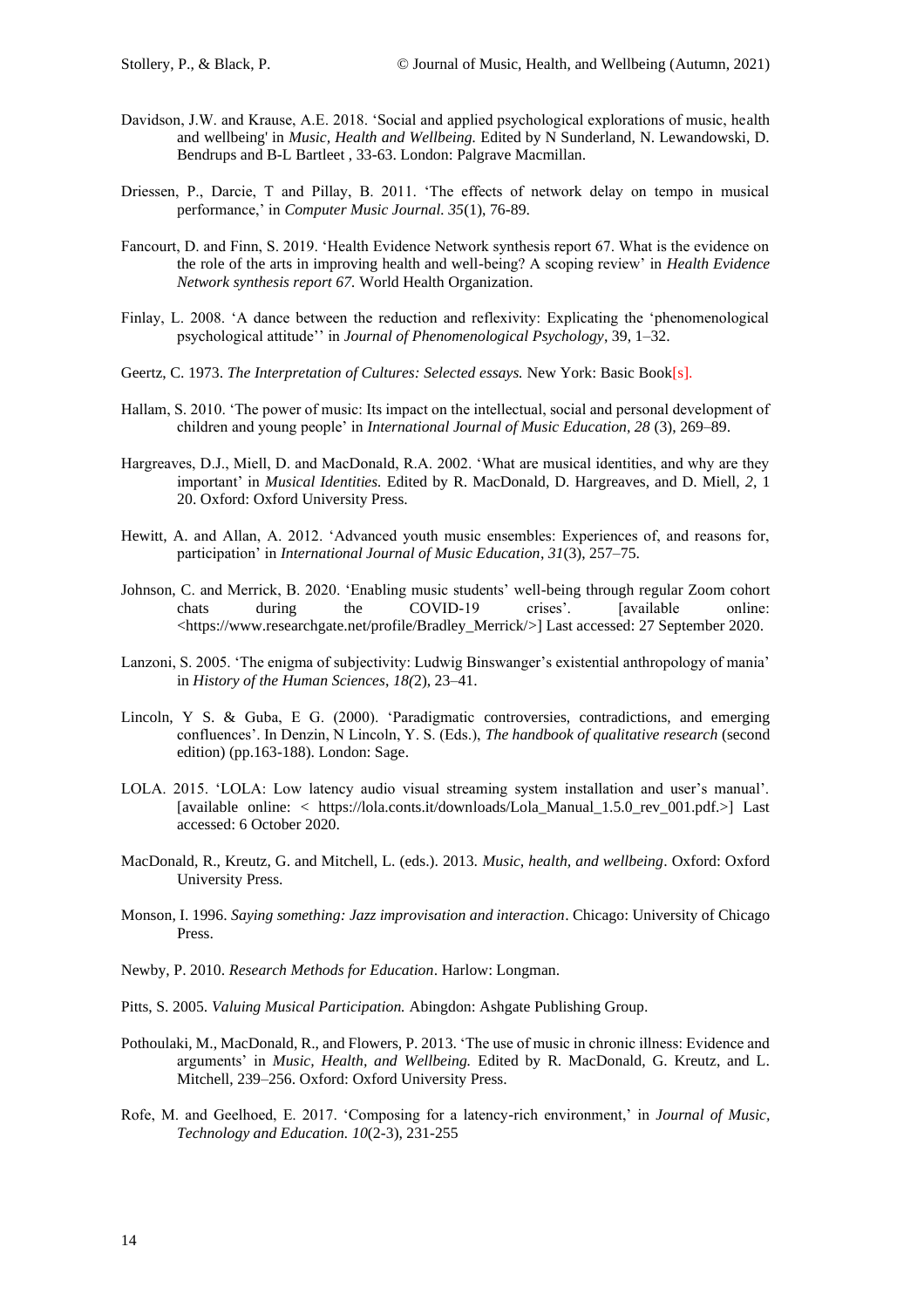- Davidson, J.W. and Krause, A.E. 2018. 'Social and applied psychological explorations of music, health and wellbeing' in *Music, Health and Wellbeing.* Edited by N Sunderland, N. Lewandowski, D. Bendrups and B-L Bartleet , 33-63. London: Palgrave Macmillan.
- Driessen, P., Darcie, T and Pillay, B. 2011. 'The effects of network delay on tempo in musical performance,' in *Computer Music Journal. 35*(1), 76-89.
- Fancourt, D. and Finn, S. 2019. 'Health Evidence Network synthesis report 67. What is the evidence on the role of the arts in improving health and well-being? A scoping review' in *Health Evidence Network synthesis report 67.* World Health Organization.
- Finlay, L. 2008. 'A dance between the reduction and reflexivity: Explicating the 'phenomenological psychological attitude'' in *Journal of Phenomenological Psychology*, 39, 1–32.
- Geertz, C. 1973. *The Interpretation of Cultures: Selected essays.* New York: Basic Book[s].
- Hallam, S. 2010. 'The power of music: Its impact on the intellectual, social and personal development of children and young people' in *International Journal of Music Education, 28* (3), 269–89.
- Hargreaves, D.J., Miell, D. and MacDonald, R.A. 2002. 'What are musical identities, and why are they important' in *Musical Identities.* Edited by R. MacDonald, D. Hargreaves, and D. Miell, *2*, 1 20. Oxford: Oxford University Press.
- Hewitt, A. and Allan, A. 2012. 'Advanced youth music ensembles: Experiences of, and reasons for, participation' in *International Journal of Music Education*, *31*(3), 257–75.
- Johnson, C. and Merrick, B. 2020. 'Enabling music students' well-being through regular Zoom cohort chats during the COVID-19 crises'. [available online: [<https://www.researchgate.net/profile/Bradley\\_Merrick/>](https://www.researchgate.net/profile/Bradley_Merrick/)] Last accessed: 27 September 2020.
- Lanzoni, S. 2005. 'The enigma of subjectivity: Ludwig Binswanger's existential anthropology of mania' in *History of the Human Sciences*, *18(*2), 23–41.
- Lincoln, Y S. & Guba, E G. (2000). 'Paradigmatic controversies, contradictions, and emerging confluences'. In Denzin, N Lincoln, Y. S. (Eds.), *The handbook of qualitative research* (second edition) (pp.163-188). London: Sage.
- LOLA. 2015. 'LOLA: Low latency audio visual streaming system installation and user's manual'. [available online: < https://lola.conts.it/downloads/Lola\_Manual\_1.5.0\_rev\_001.pdf.>] Last accessed: 6 October 2020.
- MacDonald, R., Kreutz, G. and Mitchell, L. (eds.). 2013. *Music, health, and wellbeing*. Oxford: Oxford University Press.
- Monson, I. 1996. *Saying something: Jazz improvisation and interaction*. Chicago: University of Chicago Press.
- Newby, P. 2010. *Research Methods for Education*. Harlow: Longman.
- Pitts, S. 2005. *Valuing Musical Participation.* Abingdon: Ashgate Publishing Group.
- Pothoulaki, M., MacDonald, R., and Flowers, P. 2013. 'The use of music in chronic illness: Evidence and arguments' in *Music, Health, and Wellbeing.* Edited by R. MacDonald, G. Kreutz, and L. Mitchell, 239–256. Oxford: Oxford University Press.
- Rofe, M. and Geelhoed, E. 2017. 'Composing for a latency-rich environment,' in *Journal of Music, Technology and Education. 10*(2-3), 231-255